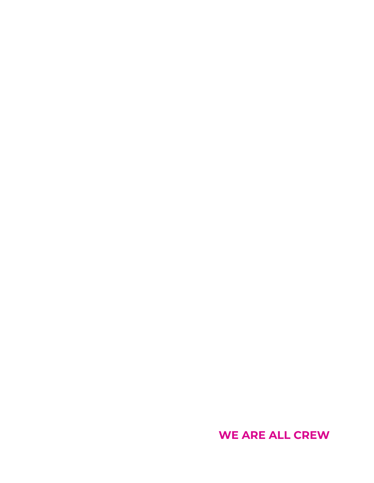**WE ARE ALL CREW**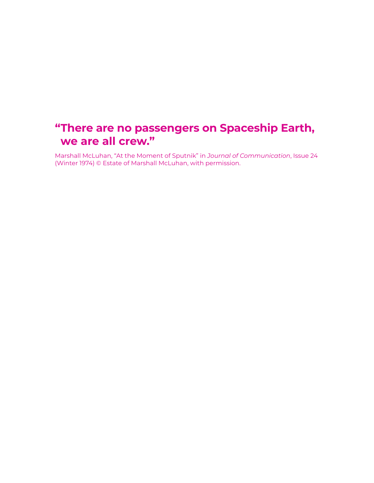# **"There are no passengers on Spaceship Earth, we are all crew."**

Marshall McLuhan, "At the Moment of Sputnik" in *Journal of Communication*, Issue 24 (Winter 1974) © Estate of Marshall McLuhan, with permission.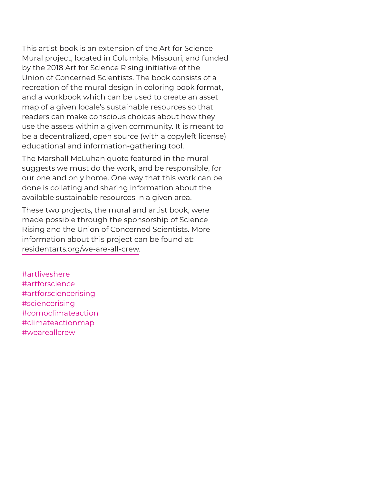This artist book is an extension of the Art for Science Mural project, located in Columbia, Missouri, and funded by the 2018 Art for Science Rising initiative of the Union of Concerned Scientists. The book consists of a recreation of the mural design in coloring book format, and a workbook which can be used to create an asset map of a given locale's sustainable resources so that readers can make conscious choices about how they use the assets within a given community. It is meant to be a decentralized, open source (with a copyleft license) educational and information-gathering tool.

The Marshall McLuhan quote featured in the mural suggests we must do the work, and be responsible, for our one and only home. One way that this work can be done is collating and sharing information about the available sustainable resources in a given area.

These two projects, the mural and artist book, were made possible through the sponsorship of Science Rising and the Union of Concerned Scientists. More information about this project can be found at: residentarts.org/we-are-all-crew.

#artliveshere #artforscience #artforsciencerising #sciencerising #comoclimateaction #climateactionmap #weareallcrew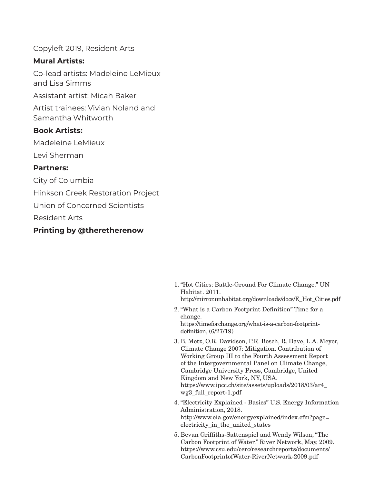Copyleft 2019, Resident Arts

### **Mural Artists:**

Co-lead artists: Madeleine LeMieux and Lisa Simms

Assistant artist: Micah Baker

Artist trainees: Vivian Noland and Samantha Whitworth

#### **Book Artists:**

Madeleine LeMieux

Levi Sherman

#### **Partners:**

City of Columbia

Hinkson Creek Restoration Project

Union of Concerned Scientists

Resident Arts

### **Printing by @theretherenow**

- 1. "Hot Cities: Battle-Ground For Climate Change." UN Habitat. 2011. http://mirror.unhabitat.org/downloads/docs/E\_Hot\_Cities.pdf
- 2. "What is a Carbon Footprint Definition" Time for a change. https://timeforchange.org/what-is-a-carbon-footprintdefinition, (6/27/19)
- 3. B. Metz, O.R. Davidson, P.R. Bosch, R. Dave, L.A. Meyer, Climate Change 2007: Mitigation. Contribution of Working Group III to the Fourth Assessment Report of the Intergovernmental Panel on Climate Change, Cambridge University Press, Cambridge, United Kingdom and New York, NY, USA. https://www.ipcc.ch/site/assets/uploads/2018/03/ar4\_ wg3\_full\_report-1.pdf
- 4. "Electricity Explained Basics" U.S. Energy Information Administration, 2018. http://www.eia.gov/energyexplained/index.cfm?page= electricity\_in\_the\_united\_states
- 5. Bevan Griffiths-Sattenspiel and Wendy Wilson, "The Carbon Footprint of Water." River Network, May, 2009. https://www.csu.edu/cerc/researchreports/documents/ CarbonFootprintofWater-RiverNetwork-2009.pdf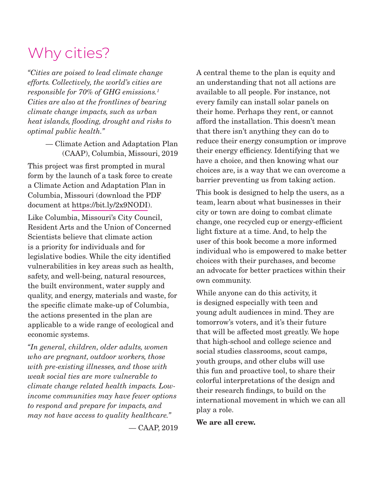# Why cities?

*"Cities are poised to lead climate change efforts. Collectively, the world's cities are responsible for 70% of GHG emissions.1 Cities are also at the frontlines of bearing climate change impacts, such as urban heat islands, flooding, drought and risks to optimal public health."*

> — Climate Action and Adaptation Plan (CAAP), Columbia, Missouri, 2019

This project was first prompted in mural form by the launch of a task force to create a Climate Action and Adaptation Plan in Columbia, Missouri (download the PDF document at https://bit.ly/2x9NODI).

Like Columbia, Missouri's City Council, Resident Arts and the Union of Concerned Scientists believe that climate action is a priority for individuals and for legislative bodies. While the city identified vulnerabilities in key areas such as health, safety, and well-being, natural resources, the built environment, water supply and quality, and energy, materials and waste, for the specific climate make-up of Columbia, the actions presented in the plan are applicable to a wide range of ecological and economic systems.

*"In general, children, older adults, women who are pregnant, outdoor workers, those with pre-existing illnesses, and those with weak social ties are more vulnerable to climate change related health impacts. Lowincome communities may have fewer options to respond and prepare for impacts, and may not have access to quality healthcare."*

— CAAP, 2019

A central theme to the plan is equity and an understanding that not all actions are available to all people. For instance, not every family can install solar panels on their home. Perhaps they rent, or cannot afford the installation. This doesn't mean that there isn't anything they can do to reduce their energy consumption or improve their energy efficiency. Identifying that we have a choice, and then knowing what our choices are, is a way that we can overcome a barrier preventing us from taking action.

This book is designed to help the users, as a team, learn about what businesses in their city or town are doing to combat climate change, one recycled cup or energy-efficient light fixture at a time. And, to help the user of this book become a more informed individual who is empowered to make better choices with their purchases, and become an advocate for better practices within their own community.

While anyone can do this activity, it is designed especially with teen and young adult audiences in mind. They are tomorrow's voters, and it's their future that will be affected most greatly. We hope that high-school and college science and social studies classrooms, scout camps, youth groups, and other clubs will use this fun and proactive tool, to share their colorful interpretations of the design and their research findings, to build on the international movement in which we can all play a role.

**We are all crew.**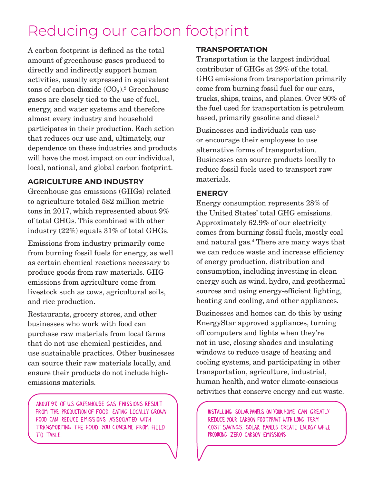# Reducing our carbon footprint

A carbon footprint is defined as the total amount of greenhouse gases produced to directly and indirectly support human activities, usually expressed in equivalent tons of carbon dioxide  $(CO_2)$ .<sup>2</sup> Greenhouse gases are closely tied to the use of fuel, energy, and water systems and therefore almost every industry and household participates in their production. Each action that reduces our use and, ultimately, our dependence on these industries and products will have the most impact on our individual, local, national, and global carbon footprint.

# **AGRICULTURE AND INDUSTRY**

Greenhouse gas emissions (GHGs) related to agriculture totaled 582 million metric tons in 2017, which represented about 9% of total GHGs. This combined with other industry (22%) equals 31% of total GHGs.

Emissions from industry primarily come from burning fossil fuels for energy, as well as certain chemical reactions necessary to produce goods from raw materials. GHG emissions from agriculture come from livestock such as cows, agricultural soils, and rice production.

Restaurants, grocery stores, and other businesses who work with food can purchase raw materials from local farms that do not use chemical pesticides, and use sustainable practices. Other businesses can source their raw materials locally, and ensure their products do not include highemissions materials.

ABOUT 9% OF U.S. GREENHOUSE GAS EMISSIONS RESULT FROM THE PRODUCTION OF FOOD. EATING LOCALLY GROWN FOOD CAN REDUCE EMISSIONS ASSOCIATED WITH TRANSPORTING THE FOOD YOU CONSUME FROM FIELD TO TABLE.

# **TRANSPORTATION**

Transportation is the largest individual contributor of GHGs at 29% of the total. GHG emissions from transportation primarily come from burning fossil fuel for our cars, trucks, ships, trains, and planes. Over 90% of the fuel used for transportation is petroleum based, primarily gasoline and diesel.3

Businesses and individuals can use or encourage their employees to use alternative forms of transportation. Businesses can source products locally to reduce fossil fuels used to transport raw materials.

# **ENERGY**

Energy consumption represents 28% of the United States' total GHG emissions. Approximately 62.9% of our electricity comes from burning fossil fuels, mostly coal and natural gas.4 There are many ways that we can reduce waste and increase efficiency of energy production, distribution and consumption, including investing in clean energy such as wind, hydro, and geothermal sources and using energy-efficient lighting, heating and cooling, and other appliances.

Businesses and homes can do this by using EnergyStar approved appliances, turning off computers and lights when they're not in use, closing shades and insulating windows to reduce usage of heating and cooling systems, and participating in other transportation, agriculture, industrial, human health, and water climate-conscious activities that conserve energy and cut waste.

INSTALLING SOLAR PANELS ON YOUR HOME CAN GREATLY REDUCE YOUR CARBON FOOTPRINT WITH LONG TERM COST SAVINGS. SOLAR PANELS CREATE ENERGY WHILE PRODUCING ZERO CARBON EMISSIONS.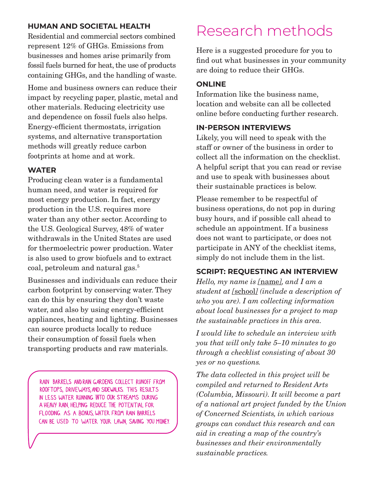## **HUMAN AND SOCIETAL HEALTH**

Residential and commercial sectors combined represent 12% of GHGs. Emissions from businesses and homes arise primarily from fossil fuels burned for heat, the use of products containing GHGs, and the handling of waste.

Home and business owners can reduce their impact by recycling paper, plastic, metal and other materials. Reducing electricity use and dependence on fossil fuels also helps. Energy-efficient thermostats, irrigation systems, and alternative transportation methods will greatly reduce carbon footprints at home and at work.

# **WATER**

Producing clean water is a fundamental human need, and water is required for most energy production. In fact, energy production in the U.S. requires more water than any other sector. According to the U.S. Geological Survey, 48% of water withdrawals in the United States are used for thermoelectric power production. Water is also used to grow biofuels and to extract coal, petroleum and natural gas.5

Businesses and individuals can reduce their carbon footprint by conserving water. They can do this by ensuring they don't waste water, and also by using energy-efficient appliances, heating and lighting. Businesses can source products locally to reduce their consumption of fossil fuels when transporting products and raw materials.

RAIN BARRELS AND RAIN GARDENS COLLECT RUNOFF FROM ROOFTOPS, DRIVEWAYS, AND SIDEWALKS. THIS RESULTS IN LESS WATER RUNNING INTO OUR STREAMS DURING A HEAVY RAIN, HELPING REDUCE THE POTENTIAL FOR FLOODING. AS A BONUS, WATER FROM RAIN BARRELS CAN BE USED TO WATER YOUR LAWN, SAVING YOU MONEY.

# Research methods

Here is a suggested procedure for you to find out what businesses in your community are doing to reduce their GHGs.

### **ONLINE**

Information like the business name, location and website can all be collected online before conducting further research.

### **IN-PERSON INTERVIEWS**

Likely, you will need to speak with the staff or owner of the business in order to collect all the information on the checklist. A helpful script that you can read or revise and use to speak with businesses about their sustainable practices is below.

Please remember to be respectful of business operations, do not pop in during busy hours, and if possible call ahead to schedule an appointment. If a business does not want to participate, or does not participate in ANY of the checklist items, simply do not include them in the list.

### **SCRIPT: REQUESTING AN INTERVIEW**

*Hello, my name is [*name*], and I am a student at [*school*] (include a description of who you are). I am collecting information about local businesses for a project to map the sustainable practices in this area.*

*I would like to schedule an interview with you that will only take 5–10 minutes to go through a checklist consisting of about 30 yes or no questions.*

*The data collected in this project will be compiled and returned to Resident Arts (Columbia, Missouri). It will become a part of a national art project funded by the Union of Concerned Scientists, in which various groups can conduct this research and can aid in creating a map of the country's businesses and their environmentally sustainable practices.*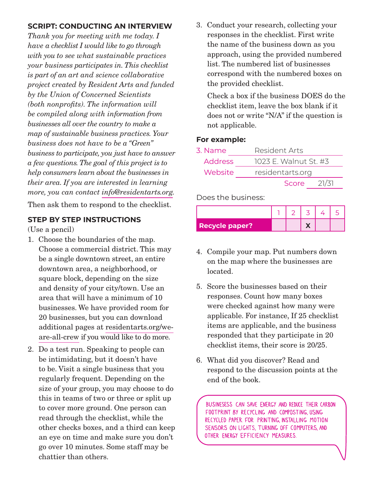# **SCRIPT: CONDUCTING AN INTERVIEW**

*Thank you for meeting with me today. I have a checklist I would like to go through with you to see what sustainable practices your business participates in. This checklist is part of an art and science collaborative project created by Resident Arts and funded by the Union of Concerned Scientists (both nonprofits). The information will be compiled along with information from businesses all over the country to make a map of sustainable business practices. Your business does not have to be a "Green" business to participate, you just have to answer a few questions. The goal of this project is to help consumers learn about the businesses in their area. If you are interested in learning more, you can contact info@residentarts.org.*

Then ask them to respond to the checklist.

### **STEP BY STEP INSTRUCTIONS**

(Use a pencil)

- 1. Choose the boundaries of the map. Choose a commercial district. This may be a single downtown street, an entire downtown area, a neighborhood, or square block, depending on the size and density of your city/town. Use an area that will have a minimum of 10 businesses. We have provided room for 20 businesses, but you can download additional pages at residentarts.org/weare-all-crew if you would like to do more.
- 2. Do a test run. Speaking to people can be intimidating, but it doesn't have to be. Visit a single business that you regularly frequent. Depending on the size of your group, you may choose to do this in teams of two or three or split up to cover more ground. One person can read through the checklist, while the other checks boxes, and a third can keep an eye on time and make sure you don't go over 10 minutes. Some staff may be chattier than others.

3. Conduct your research, collecting your responses in the checklist. First write the name of the business down as you approach, using the provided numbered list. The numbered list of businesses correspond with the numbered boxes on the provided checklist.

Check a box if the business DOES do the checklist item, leave the box blank if it does not or write "N/A" if the question is not applicable.

### **For example:**

| 3. Name        | Resident Arts    |                       |  |  |  |  |  |  |  |
|----------------|------------------|-----------------------|--|--|--|--|--|--|--|
| <b>Address</b> |                  | 1023 E. Walnut St. #3 |  |  |  |  |  |  |  |
| Website        | residentarts.org |                       |  |  |  |  |  |  |  |
|                | Score            | 21/31                 |  |  |  |  |  |  |  |

Does the business:

| <b>Recycle paper?</b> |  |  |  |
|-----------------------|--|--|--|

- 4. Compile your map. Put numbers down on the map where the businesses are located.
- 5. Score the businesses based on their responses. Count how many boxes were checked against how many were applicable. For instance, If 25 checklist items are applicable, and the business responded that they participate in 20 checklist items, their score is 20/25.
- 6. What did you discover? Read and respond to the discussion points at the end of the book.

BUSINESESS CAN SAVE ENERGY AND REDUCE THEIR CARBON FOOTPRINT BY RECYCLING AND COMPOSTING, USING RECYCLED PAPER FOR PRINTING, INSTALLING MOTION SENSORS ON LIGHTS, TURNING OFF COMPUTERS, AND OTHER ENERGY EFFICIENCY MEASURES.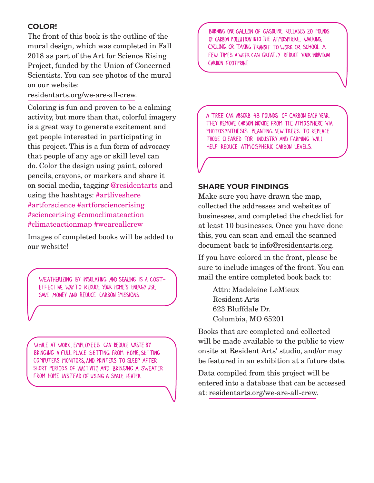# **COLOR!**

The front of this book is the outline of the mural design, which was completed in Fall 2018 as part of the Art for Science Rising Project, funded by the Union of Concerned Scientists. You can see photos of the mural on our website:

#### residentarts.org/we-are-all-crew.

Coloring is fun and proven to be a calming activity, but more than that, colorful imagery is a great way to generate excitement and get people interested in participating in this project. This is a fun form of advocacy that people of any age or skill level can do. Color the design using paint, colored pencils, crayons, or markers and share it on social media, tagging @residentarts and using the hashtags: #artliveshere #artforscience #artforsciencerising #sciencerising #comoclimateaction #climateactionmap #weareallcrew

Images of completed books will be added to our website!

WEATHERIZING BY INSULATING AND SEALING IS A COST-EFFECTIVE WAY TO REDUCE YOUR HOME'S ENERGY USE. SAVE MONEY AND REDUCE CARBON EMISSIONS.

WHILE AT WORK, EMPLOYEES CAN REDUCE WASTE BY BRINGING A FULL PLACE SETTING FROM HOME, SETTING COMPUTERS, MONITORS, AND PRINTERS TO SLEEP AFTER SHORT PERIODS OF INACTIVITY, AND BRINGING A SWEATER FROM HOME INSTEAD OF USING A SPACE HEATER.

BURNING ONE GALLON OF GASOLINE RELEASES 20 POUNDS OF CARBON POLLUTION INTO THE ATMOSPHERE. WALKING, CYCLING, OR TAKING TRANSIT TO WORK OR SCHOOL A FEW TIMES A WEEK CAN GREATLY REDUCE YOUR INDIVIDUAL CARBON FOOTPRINT

A TREE CAN ABSORB 48 POUNDS OF CARBON EACH YEAR. THEY REMOVE CARBON DIOXIDE FROM THE ATMOSPHERE VIA PHOTOSYNTHESIS. PLANTING NEW TREES TO REPLACE THOSE CLEARED FOR INDUSTRY AND FARMING WILL HELP REDUCE ATMOSPHERIC CARBON LEVELS.

### **SHARE YOUR FINDINGS**

Make sure you have drawn the map, collected the addresses and websites of businesses, and completed the checklist for at least 10 businesses. Once you have done this, you can scan and email the scanned document back to info@residentarts.org.

If you have colored in the front, please be sure to include images of the front. You can mail the entire completed book back to:

Attn: Madeleine LeMieux Resident Arts 623 Bluffdale Dr. Columbia, MO 65201

Books that are completed and collected will be made available to the public to view onsite at Resident Arts' studio, and/or may be featured in an exhibition at a future date.

Data compiled from this project will be entered into a database that can be accessed at: residentarts.org/we-are-all-crew.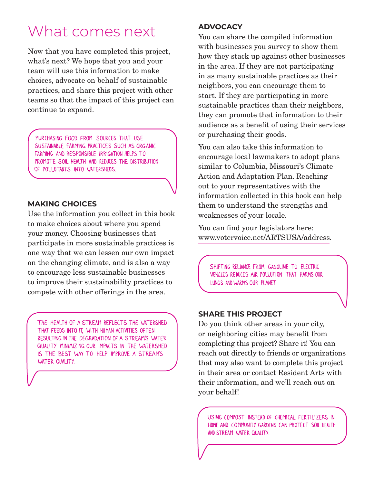# What comes next

Now that you have completed this project, what's next? We hope that you and your team will use this information to make choices, advocate on behalf of sustainable practices, and share this project with other teams so that the impact of this project can continue to expand.

PURCHASING FOOD FROM SOURCES THAT USE SUSTAINABLE FARMING PRACTICES SUCH AS ORGANIC FARMING AND RESPONSIBLE IRRIGATION HELPS TO PROMOTE SOIL HEALTH AND REDUCES THE DISTRIBUTION OF POLLUTANTS INTO WATERSHEDS.

### **MAKING CHOICES**

Use the information you collect in this book to make choices about where you spend your money. Choosing businesses that participate in more sustainable practices is one way that we can lessen our own impact on the changing climate, and is also a way to encourage less sustainable businesses to improve their sustainability practices to compete with other offerings in the area.

THE HEALTH OF A STREAM REFLECTS THE WATERSHED THAT FEEDS INTO IT, WITH HUMAN ACTIVITIES OFTEN RESULTING IN THE DEGRADATION OF A STREAM'S WATER QUALITY. MINIMIZING OUR IMPACTS IN THE WATERSHED IS THE BEST WAY TO HELP IMPROVE A STREAM'S WATER QUALITY.

#### **ADVOCACY**

You can share the compiled information with businesses you survey to show them how they stack up against other businesses in the area. If they are not participating in as many sustainable practices as their neighbors, you can encourage them to start. If they are participating in more sustainable practices than their neighbors, they can promote that information to their audience as a benefit of using their services or purchasing their goods.

You can also take this information to encourage local lawmakers to adopt plans similar to Columbia, Missouri's Climate Action and Adaptation Plan. Reaching out to your representatives with the information collected in this book can help them to understand the strengths and weaknesses of your locale.

You can find your legislators here: www.votervoice.net/ARTSUSA/address.

SHIFTING RELIANCE FROM GASOLINE TO ELECTRIC VEHICLES REDUCES AIR POLLUTION THAT HARMS OUR LUNGS AND WARMS OUR PLANET.

#### **SHARE THIS PROJECT**

Do you think other areas in your city, or neighboring cities may benefit from completing this project? Share it! You can reach out directly to friends or organizations that may also want to complete this project in their area or contact Resident Arts with their information, and we'll reach out on your behalf!

USING COMPOST INSTEAD OF CHEMICAL FERTILIZERS IN HOME AND COMMUNITY GARDENS CAN PROTECT SOIL HEALTH AND STREAM WATER QUALITY.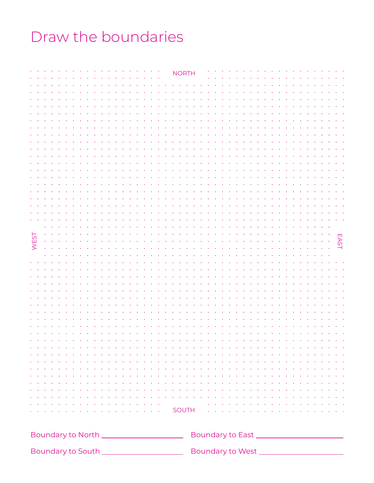# Draw the boundaries

|             | <b>NORTH</b>                                                                                                                                                                                                                     |  |  |  |  |  |  |
|-------------|----------------------------------------------------------------------------------------------------------------------------------------------------------------------------------------------------------------------------------|--|--|--|--|--|--|
|             |                                                                                                                                                                                                                                  |  |  |  |  |  |  |
|             |                                                                                                                                                                                                                                  |  |  |  |  |  |  |
|             |                                                                                                                                                                                                                                  |  |  |  |  |  |  |
|             |                                                                                                                                                                                                                                  |  |  |  |  |  |  |
|             |                                                                                                                                                                                                                                  |  |  |  |  |  |  |
|             |                                                                                                                                                                                                                                  |  |  |  |  |  |  |
|             |                                                                                                                                                                                                                                  |  |  |  |  |  |  |
|             |                                                                                                                                                                                                                                  |  |  |  |  |  |  |
|             |                                                                                                                                                                                                                                  |  |  |  |  |  |  |
|             |                                                                                                                                                                                                                                  |  |  |  |  |  |  |
|             |                                                                                                                                                                                                                                  |  |  |  |  |  |  |
|             |                                                                                                                                                                                                                                  |  |  |  |  |  |  |
|             |                                                                                                                                                                                                                                  |  |  |  |  |  |  |
|             |                                                                                                                                                                                                                                  |  |  |  |  |  |  |
|             |                                                                                                                                                                                                                                  |  |  |  |  |  |  |
| <b>WEST</b> | <b>EAST</b>                                                                                                                                                                                                                      |  |  |  |  |  |  |
|             |                                                                                                                                                                                                                                  |  |  |  |  |  |  |
|             |                                                                                                                                                                                                                                  |  |  |  |  |  |  |
|             |                                                                                                                                                                                                                                  |  |  |  |  |  |  |
|             |                                                                                                                                                                                                                                  |  |  |  |  |  |  |
|             |                                                                                                                                                                                                                                  |  |  |  |  |  |  |
|             |                                                                                                                                                                                                                                  |  |  |  |  |  |  |
|             |                                                                                                                                                                                                                                  |  |  |  |  |  |  |
|             |                                                                                                                                                                                                                                  |  |  |  |  |  |  |
|             |                                                                                                                                                                                                                                  |  |  |  |  |  |  |
|             | a de la caractería de la caractería de la caractería de la caractería de la caractería de la caractería de la<br>a de la caractería de la caractería de la caractería de la caractería de la caractería de la caractería de la   |  |  |  |  |  |  |
|             | a constitución de la característica de la característica de la característica de la característica de la carac                                                                                                                   |  |  |  |  |  |  |
|             | a di sera de la caractería de la caractería de la caractería de la caractería de la caractería de la caracterí<br>a de la caractería de la caractería de la caractería de la caractería de la caractería de la caractería de la  |  |  |  |  |  |  |
|             | a de la caractería de la caractería de la caractería de la caractería de la caractería de la caractería de la                                                                                                                    |  |  |  |  |  |  |
|             | a constitución de la característica de la característica de la característica de la característica de la carac<br>a de la caractería de la caractería de la caractería de la caractería de la caractería de la caractería de la  |  |  |  |  |  |  |
|             | e de la característica est est en la característica en la característica en la característica en la caracterís<br>La característica en la característica en la característica en la característica en la característica en la ca |  |  |  |  |  |  |
|             |                                                                                                                                                                                                                                  |  |  |  |  |  |  |
|             |                                                                                                                                                                                                                                  |  |  |  |  |  |  |
|             |                                                                                                                                                                                                                                  |  |  |  |  |  |  |

 $\overline{\mathsf{J}}$ ouun $\overline{\mathsf{I}}$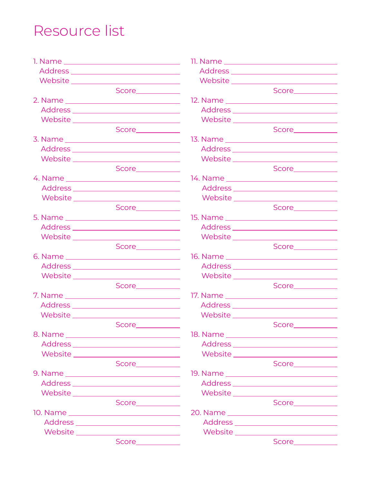# Resource list

1. Name Address Website Score 2. Name Address Website Score 3. Name Address Website Score 4. Name Address Website Score 5. Name Address Website Score 6. Name Address Website Score **Score Score** 7. Name Address Website Score\_\_\_\_\_\_\_\_\_\_\_ 8. Name Address Website Score 9. Name Address Website Score **Score Score** 10. Name Address Website Score 11. Name Address **Website** Score\_\_\_\_\_\_\_\_\_\_\_\_ 12. Name Address Website Score 13. Name Address Website Score **Score Score** 14. Name Address Website Score\_\_\_\_\_\_\_\_\_\_\_\_ 15. Name Address Website Score 16. Name Address Website Score **Score Score** 17. Name Address Website Score\_\_\_\_\_\_\_\_\_\_\_\_ 18. Name Address Website Score 19. Name Address Website Score **Score Score** 20. Name Address **Website** Score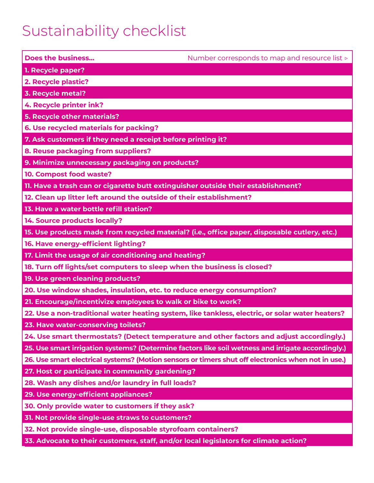# Sustainability checklist

| <b>Does the business</b>                                                                          | Number corresponds to map and resource list ⊳                                                      |
|---------------------------------------------------------------------------------------------------|----------------------------------------------------------------------------------------------------|
| 1. Recycle paper?                                                                                 |                                                                                                    |
| 2. Recycle plastic?                                                                               |                                                                                                    |
| 3. Recycle metal?                                                                                 |                                                                                                    |
| 4. Recycle printer ink?                                                                           |                                                                                                    |
| 5. Recycle other materials?                                                                       |                                                                                                    |
| 6. Use recycled materials for packing?                                                            |                                                                                                    |
| 7. Ask customers if they need a receipt before printing it?                                       |                                                                                                    |
| 8. Reuse packaging from suppliers?                                                                |                                                                                                    |
| 9. Minimize unnecessary packaging on products?                                                    |                                                                                                    |
| 10. Compost food waste?                                                                           |                                                                                                    |
| 11. Have a trash can or cigarette butt extinguisher outside their establishment?                  |                                                                                                    |
| 12. Clean up litter left around the outside of their establishment?                               |                                                                                                    |
| 13. Have a water bottle refill station?                                                           |                                                                                                    |
| 14. Source products locally?                                                                      |                                                                                                    |
| 15. Use products made from recycled material? (i.e., office paper, disposable cutlery, etc.)      |                                                                                                    |
| 16. Have energy-efficient lighting?                                                               |                                                                                                    |
| 17. Limit the usage of air conditioning and heating?                                              |                                                                                                    |
| 18. Turn off lights/set computers to sleep when the business is closed?                           |                                                                                                    |
| 19. Use green cleaning products?                                                                  |                                                                                                    |
| 20. Use window shades, insulation, etc. to reduce energy consumption?                             |                                                                                                    |
| 21. Encourage/incentivize employees to walk or bike to work?                                      |                                                                                                    |
| 22. Use a non-traditional water heating system, like tankless, electric, or solar water heaters?  |                                                                                                    |
| 23. Have water-conserving toilets?                                                                |                                                                                                    |
| 24. Use smart thermostats? (Detect temperature and other factors and adjust accordingly.)         |                                                                                                    |
| 25. Use smart irrigation systems? (Determine factors like soil wetness and irrigate accordingly.) |                                                                                                    |
|                                                                                                   | 26. Use smart electrical systems? (Motion sensors or timers shut off electronics when not in use.) |
| 27. Host or participate in community gardening?                                                   |                                                                                                    |
| 28. Wash any dishes and/or laundry in full loads?                                                 |                                                                                                    |
| 29. Use energy-efficient appliances?                                                              |                                                                                                    |
| 30. Only provide water to customers if they ask?                                                  |                                                                                                    |
| 31. Not provide single-use straws to customers?                                                   |                                                                                                    |
| 32. Not provide single-use, disposable styrofoam containers?                                      |                                                                                                    |
| 33. Advocate to their customers, staff, and/or local legislators for climate action?              |                                                                                                    |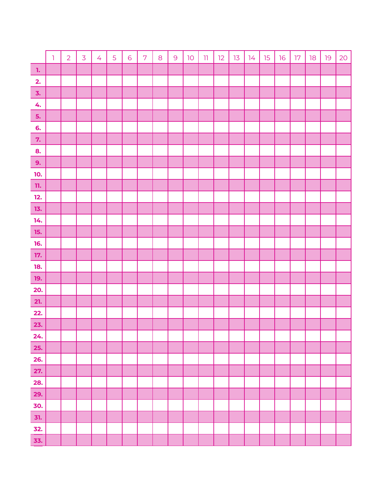|                                                                      | $\mathbf{I}$ | $\overline{2}$ | $\overline{3}$ | $\overline{4}$ | 5 | 6 | $\overline{7}$ | $\mathbf 8$ | $\overline{9}$ | $10$ | $11\,$ | 12 | 13 | 14 | 15 | 16 | 17 | 18 | 19 | 20 |
|----------------------------------------------------------------------|--------------|----------------|----------------|----------------|---|---|----------------|-------------|----------------|------|--------|----|----|----|----|----|----|----|----|----|
| $\blacksquare$                                                       |              |                |                |                |   |   |                |             |                |      |        |    |    |    |    |    |    |    |    |    |
| 2.                                                                   |              |                |                |                |   |   |                |             |                |      |        |    |    |    |    |    |    |    |    |    |
| $\mathbf{3}$ .                                                       |              |                |                |                |   |   |                |             |                |      |        |    |    |    |    |    |    |    |    |    |
| 4.                                                                   |              |                |                |                |   |   |                |             |                |      |        |    |    |    |    |    |    |    |    |    |
| 5.                                                                   |              |                |                |                |   |   |                |             |                |      |        |    |    |    |    |    |    |    |    |    |
| 6.                                                                   |              |                |                |                |   |   |                |             |                |      |        |    |    |    |    |    |    |    |    |    |
| 7.                                                                   |              |                |                |                |   |   |                |             |                |      |        |    |    |    |    |    |    |    |    |    |
| 8.                                                                   |              |                |                |                |   |   |                |             |                |      |        |    |    |    |    |    |    |    |    |    |
| 9.                                                                   |              |                |                |                |   |   |                |             |                |      |        |    |    |    |    |    |    |    |    |    |
| 10.                                                                  |              |                |                |                |   |   |                |             |                |      |        |    |    |    |    |    |    |    |    |    |
| ${\bf n}.$                                                           |              |                |                |                |   |   |                |             |                |      |        |    |    |    |    |    |    |    |    |    |
| $12.$                                                                |              |                |                |                |   |   |                |             |                |      |        |    |    |    |    |    |    |    |    |    |
| 13.                                                                  |              |                |                |                |   |   |                |             |                |      |        |    |    |    |    |    |    |    |    |    |
| 14.                                                                  |              |                |                |                |   |   |                |             |                |      |        |    |    |    |    |    |    |    |    |    |
| 15.                                                                  |              |                |                |                |   |   |                |             |                |      |        |    |    |    |    |    |    |    |    |    |
| 16.                                                                  |              |                |                |                |   |   |                |             |                |      |        |    |    |    |    |    |    |    |    |    |
| 17.                                                                  |              |                |                |                |   |   |                |             |                |      |        |    |    |    |    |    |    |    |    |    |
| 18.                                                                  |              |                |                |                |   |   |                |             |                |      |        |    |    |    |    |    |    |    |    |    |
| 19.                                                                  |              |                |                |                |   |   |                |             |                |      |        |    |    |    |    |    |    |    |    |    |
| 20.                                                                  |              |                |                |                |   |   |                |             |                |      |        |    |    |    |    |    |    |    |    |    |
| 21.                                                                  |              |                |                |                |   |   |                |             |                |      |        |    |    |    |    |    |    |    |    |    |
| $\begin{array}{r} \n \textbf{22.} \\ \n \textbf{23.} \n \end{array}$ |              |                |                |                |   |   |                |             |                |      |        |    |    |    |    |    |    |    |    |    |
|                                                                      |              |                |                |                |   |   |                |             |                |      |        |    |    |    |    |    |    |    |    |    |
| 24.                                                                  |              |                |                |                |   |   |                |             |                |      |        |    |    |    |    |    |    |    |    |    |
| 25.                                                                  |              |                |                |                |   |   |                |             |                |      |        |    |    |    |    |    |    |    |    |    |
| 26.                                                                  |              |                |                |                |   |   |                |             |                |      |        |    |    |    |    |    |    |    |    |    |
| 27.                                                                  |              |                |                |                |   |   |                |             |                |      |        |    |    |    |    |    |    |    |    |    |
| 28.                                                                  |              |                |                |                |   |   |                |             |                |      |        |    |    |    |    |    |    |    |    |    |
| <u>29.</u>                                                           |              |                |                |                |   |   |                |             |                |      |        |    |    |    |    |    |    |    |    |    |
| 30.                                                                  |              |                |                |                |   |   |                |             |                |      |        |    |    |    |    |    |    |    |    |    |
| 31.                                                                  |              |                |                |                |   |   |                |             |                |      |        |    |    |    |    |    |    |    |    |    |
| 32.                                                                  |              |                |                |                |   |   |                |             |                |      |        |    |    |    |    |    |    |    |    |    |
| 33.                                                                  |              |                |                |                |   |   |                |             |                |      |        |    |    |    |    |    |    |    |    |    |